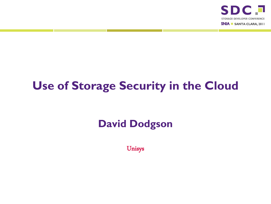

## **Use of Storage Security in the Cloud**

#### **David Dodgson**

Unisys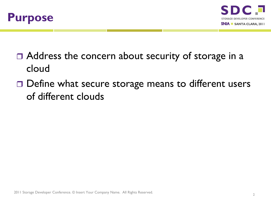



- □ Address the concern about security of storage in a cloud
- $\Box$  Define what secure storage means to different users of different clouds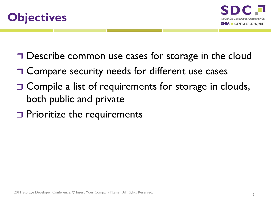



- □ Describe common use cases for storage in the cloud
- □ Compare security needs for different use cases
- □ Compile a list of requirements for storage in clouds, both public and private
- $\Box$  Prioritize the requirements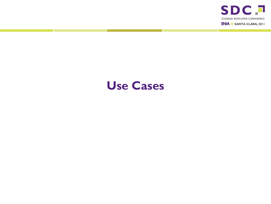

#### **Use Cases**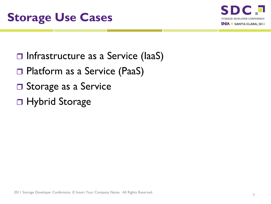

- $\Box$  Infrastructure as a Service (IaaS)
- □ Platform as a Service (PaaS)
- □ Storage as a Service
- □ Hybrid Storage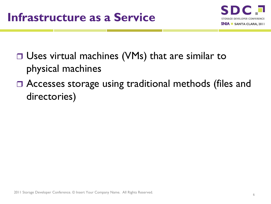

- □ Uses virtual machines (VMs) that are similar to physical machines
- □ Accesses storage using traditional methods (files and directories)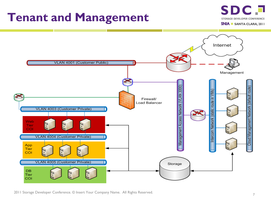#### **Tenant and Management**



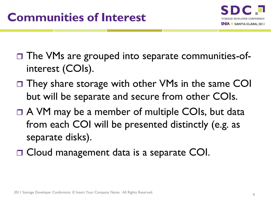- □ The VMs are grouped into separate communities-ofinterest (COIs).
- □ They share storage with other VMs in the same COI but will be separate and secure from other COIs.
- □ A VM may be a member of multiple COIs, but data from each COI will be presented distinctly (e.g. as separate disks).
- □ Cloud management data is a separate COI.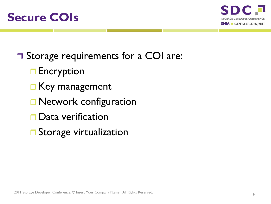



#### □ Storage requirements for a COI are:

- **Encryption**
- **□ Key management**
- **Network configuration**
- **Data verification**
- **□** Storage virtualization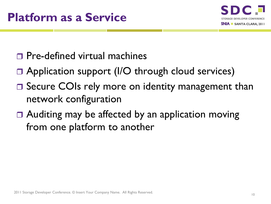

- **Pre-defined virtual machines**
- □ Application support (I/O through cloud services)
- □ Secure COIs rely more on identity management than network configuration
- □ Auditing may be affected by an application moving from one platform to another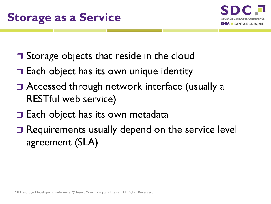

- □ Storage objects that reside in the cloud
- $\Box$  Each object has its own unique identity
- □ Accessed through network interface (usually a RESTful web service)
- $\square$  Each object has its own metadata
- □ Requirements usually depend on the service level agreement (SLA)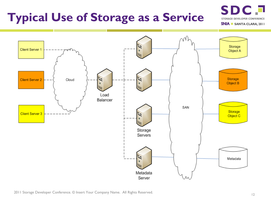# **Typical Use of Storage as a Service**



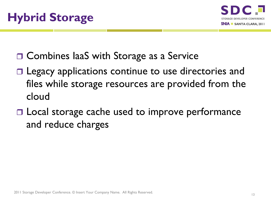

- □ Combines laaS with Storage as a Service
- □ Legacy applications continue to use directories and files while storage resources are provided from the cloud
- □ Local storage cache used to improve performance and reduce charges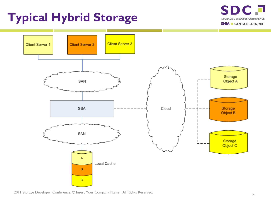# **Typical Hybrid Storage**



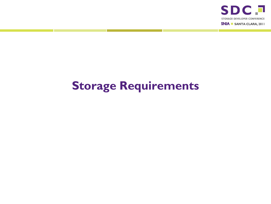

### **Storage Requirements**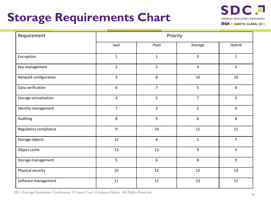## **Storage Requirements Chart**



| Requirement            | Priority       |                |                |                |
|------------------------|----------------|----------------|----------------|----------------|
|                        | laaS           | PaaS           | <b>Storage</b> | Hybrid         |
| Encryption             | $\mathbf{1}$   | $\mathbf 1$    | 3              | $\mathbf{1}$   |
| Key management         | $\overline{2}$ | $\overline{2}$ | 4              | $\overline{2}$ |
| Network configuration  | $\overline{3}$ | $\,8\,$        | 10             | 10             |
| Data verification      | 6              | $\overline{7}$ | 5              | 6              |
| Storage virtualization | $\overline{4}$ | $\overline{5}$ | $\overline{7}$ | 5              |
| Identity management    | $\overline{7}$ | $\overline{3}$ | $\overline{2}$ | $\overline{4}$ |
| Auditing               | 8              | $\overline{9}$ | 6              | 8              |
| Regulatory compliance  | 9              | 10             | 11             | 11             |
| Storage objects        | 12             | $\overline{4}$ | $\mathbf{1}$   | $\overline{7}$ |
| Object cache           | 13             | 13             | 9              | $\overline{3}$ |
| Storage management     | 5              | 6              | 8              | $\overline{9}$ |
| Physical security      | 10             | 12             | 12             | 13             |
| Software management    | $11\,$         | $11\,$         | 13             | $12\,$         |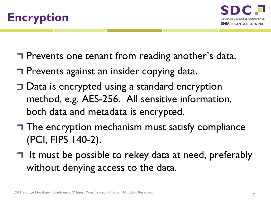- $\Box$  Prevents one tenant from reading another's data.
- $\Box$  Prevents against an insider copying data.
- Data is encrypted using a standard encryption method, e.g. AES-256. All sensitive information, both data and metadata is encrypted.
- $\Box$  The encryption mechanism must satisfy compliance (PCI, FIPS 140-2).
- $\Box$  It must be possible to rekey data at need, preferably without denying access to the data.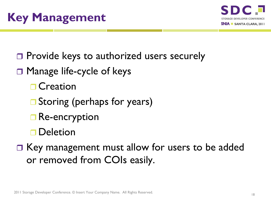

- $\Box$  Provide keys to authorized users securely
- □ Manage life-cycle of keys
	- **O** Creation
	- **□ Storing (perhaps for years)**
	- **□ Re-encryption**
	- **□** Deletion
- □ Key management must allow for users to be added or removed from COIs easily.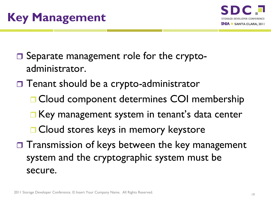

- $\Box$  Separate management role for the cryptoadministrator.
- □ Tenant should be a crypto-administrator
	- **□ Cloud component determines COI membership**
	- **□ Key management system in tenant's data center**
	- □ Cloud stores keys in memory keystore
- $\Box$  Transmission of keys between the key management system and the cryptographic system must be secure.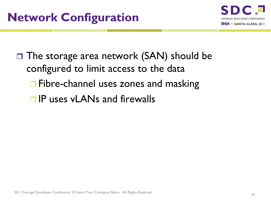

- $\Box$  The storage area network (SAN) should be configured to limit access to the data
	- $\Box$  Fibre-channel uses zones and masking
	- **IP** uses vLANs and firewalls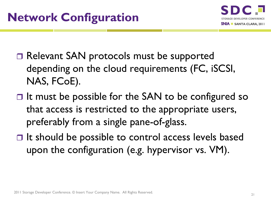

- □ Relevant SAN protocols must be supported depending on the cloud requirements (FC, iSCSI, NAS, FCoE).
- $\Box$  It must be possible for the SAN to be configured so that access is restricted to the appropriate users, preferably from a single pane-of-glass.
- $\Box$  It should be possible to control access levels based upon the configuration (e.g. hypervisor vs. VM).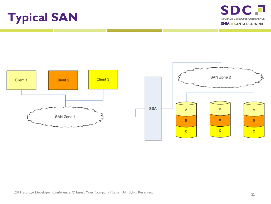



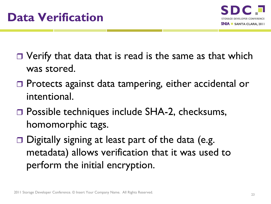- $\Box$  Verify that data that is read is the same as that which was stored.
- $\Box$  Protects against data tampering, either accidental or intentional.
- □ Possible techniques include SHA-2, checksums, homomorphic tags.
- $\Box$  Digitally signing at least part of the data (e.g. metadata) allows verification that it was used to perform the initial encryption.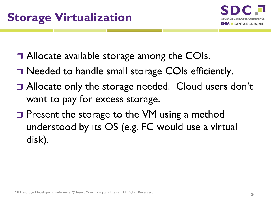

- □ Allocate available storage among the COIs.
- □ Needed to handle small storage COIs efficiently.
- □ Allocate only the storage needed. Cloud users don't want to pay for excess storage.
- $\Box$  Present the storage to the VM using a method understood by its OS (e.g. FC would use a virtual disk).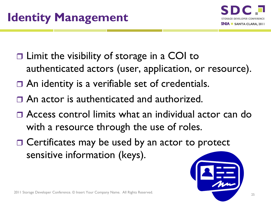

- □ Limit the visibility of storage in a COI to authenticated actors (user, application, or resource).
- □ An identity is a verifiable set of credentials.
- An actor is authenticated and authorized.
- Access control limits what an individual actor can do with a resource through the use of roles.
- □ Certificates may be used by an actor to protect sensitive information (keys).

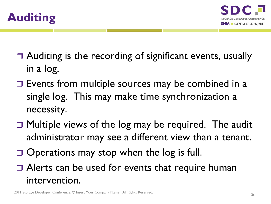

- □ Auditing is the recording of significant events, usually in a log.
- $\Box$  Events from multiple sources may be combined in a single log. This may make time synchronization a necessity.
- $\Box$  Multiple views of the log may be required. The audit administrator may see a different view than a tenant.
- $\Box$  Operations may stop when the log is full.
- □ Alerts can be used for events that require human intervention.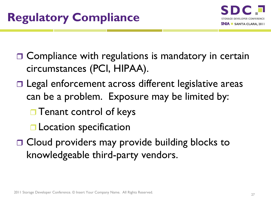

 $\Box$  Compliance with regulations is mandatory in certain circumstances (PCI, HIPAA).

- □ Legal enforcement across different legislative areas can be a problem. Exposure may be limited by:
	- **□ Tenant control of keys**
	- **Location specification**
- □ Cloud providers may provide building blocks to knowledgeable third-party vendors.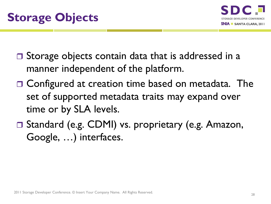- $\Box$  Storage objects contain data that is addressed in a manner independent of the platform.
- □ Configured at creation time based on metadata. The set of supported metadata traits may expand over time or by SLA levels.
- □ Standard (e.g. CDMI) vs. proprietary (e.g. Amazon, Google, …) interfaces.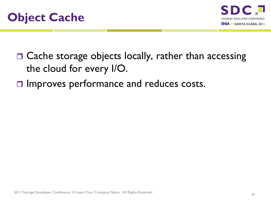



- □ Cache storage objects locally, rather than accessing the cloud for every I/O.
- $\Box$  Improves performance and reduces costs.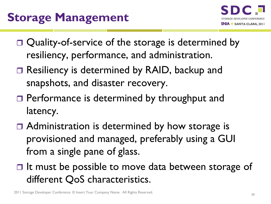

- □ Quality-of-service of the storage is determined by resiliency, performance, and administration.
- □ Resiliency is determined by RAID, backup and snapshots, and disaster recovery.
- **Performance is determined by throughput and** latency.
- □ Administration is determined by how storage is provisioned and managed, preferably using a GUI from a single pane of glass.
- $\Box$  It must be possible to move data between storage of different QoS characteristics.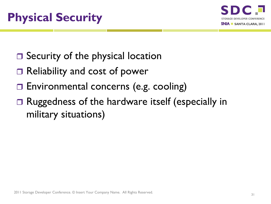

- $\Box$  Security of the physical location
- □ Reliability and cost of power
- □ Environmental concerns (e.g. cooling)
- □ Ruggedness of the hardware itself (especially in military situations)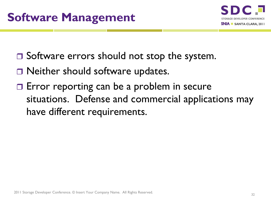

- $\Box$  Software errors should not stop the system.
- □ Neither should software updates.
- $\Box$  Error reporting can be a problem in secure situations. Defense and commercial applications may have different requirements.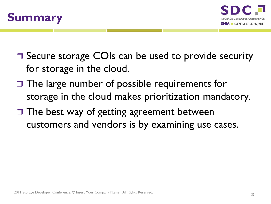



- □ Secure storage COIs can be used to provide security for storage in the cloud.
- $\Box$  The large number of possible requirements for storage in the cloud makes prioritization mandatory.
- $\Box$  The best way of getting agreement between customers and vendors is by examining use cases.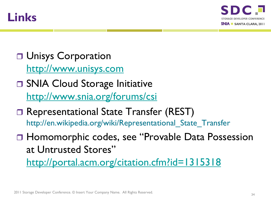



- **D** Unisys Corporation [http://www.unisys.com](http://www.unisys.com/)
- □ SNIA Cloud Storage Initiative <http://www.snia.org/forums/csi>
- □ Representational State Transfer (REST) http://en.wikipedia.org/wiki/Representational\_State\_Transfer
- □ Homomorphic codes, see "Provable Data Possession at Untrusted Stores"

<http://portal.acm.org/citation.cfm?id=1315318>